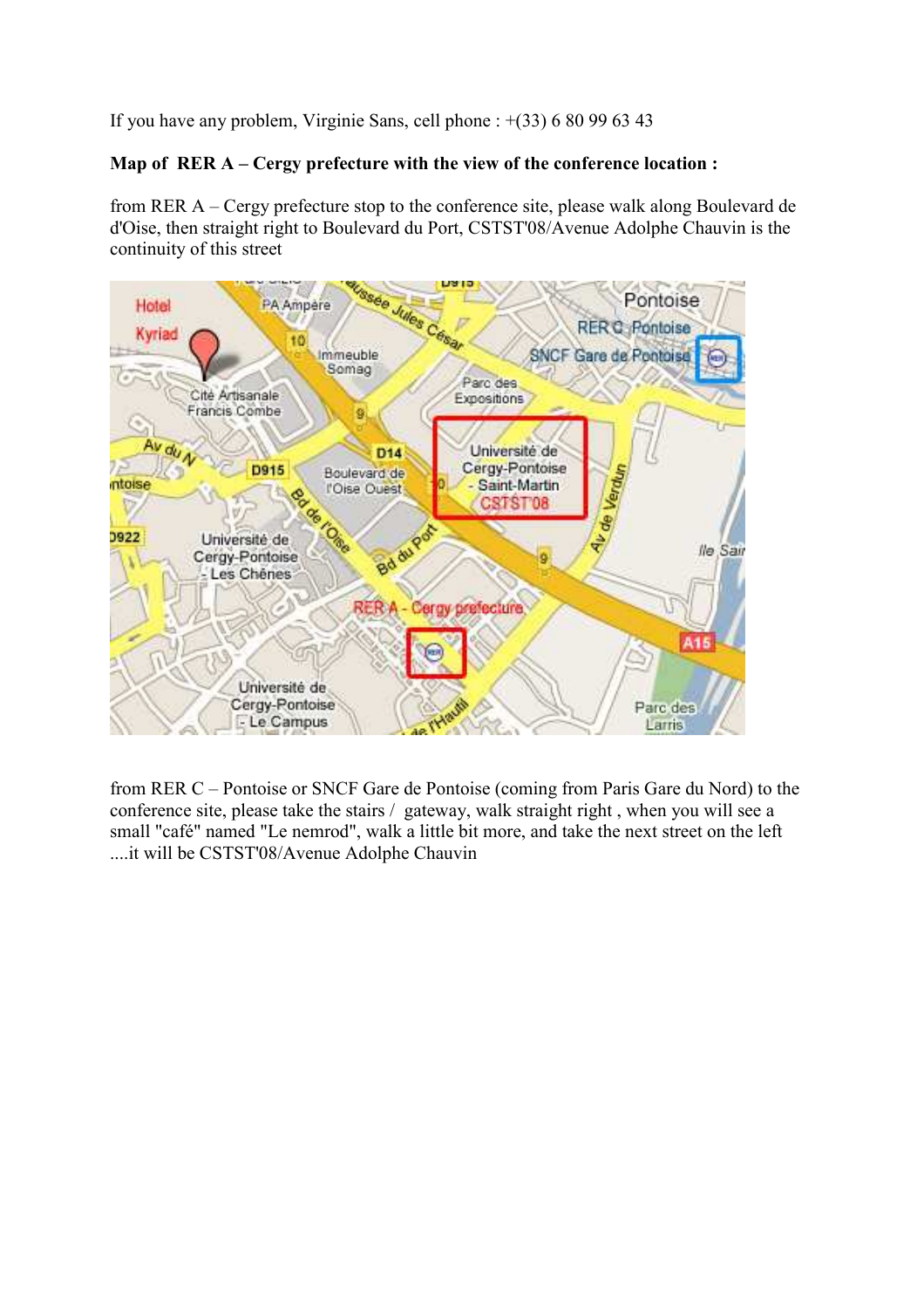If you have any problem, Virginie Sans, cell phone : +(33) 6 80 99 63 43

## Map of RER A – Cergy prefecture with the view of the conference location :

from RER A – Cergy prefecture stop to the conference site, please walk along Boulevard de d'Oise, then straight right to Boulevard du Port, CSTST'08/Avenue Adolphe Chauvin is the continuity of this street



from RER C – Pontoise or SNCF Gare de Pontoise (coming from Paris Gare du Nord) to the conference site, please take the stairs / gateway, walk straight right , when you will see a small "café" named "Le nemrod", walk a little bit more, and take the next street on the left ....it will be CSTST'08/Avenue Adolphe Chauvin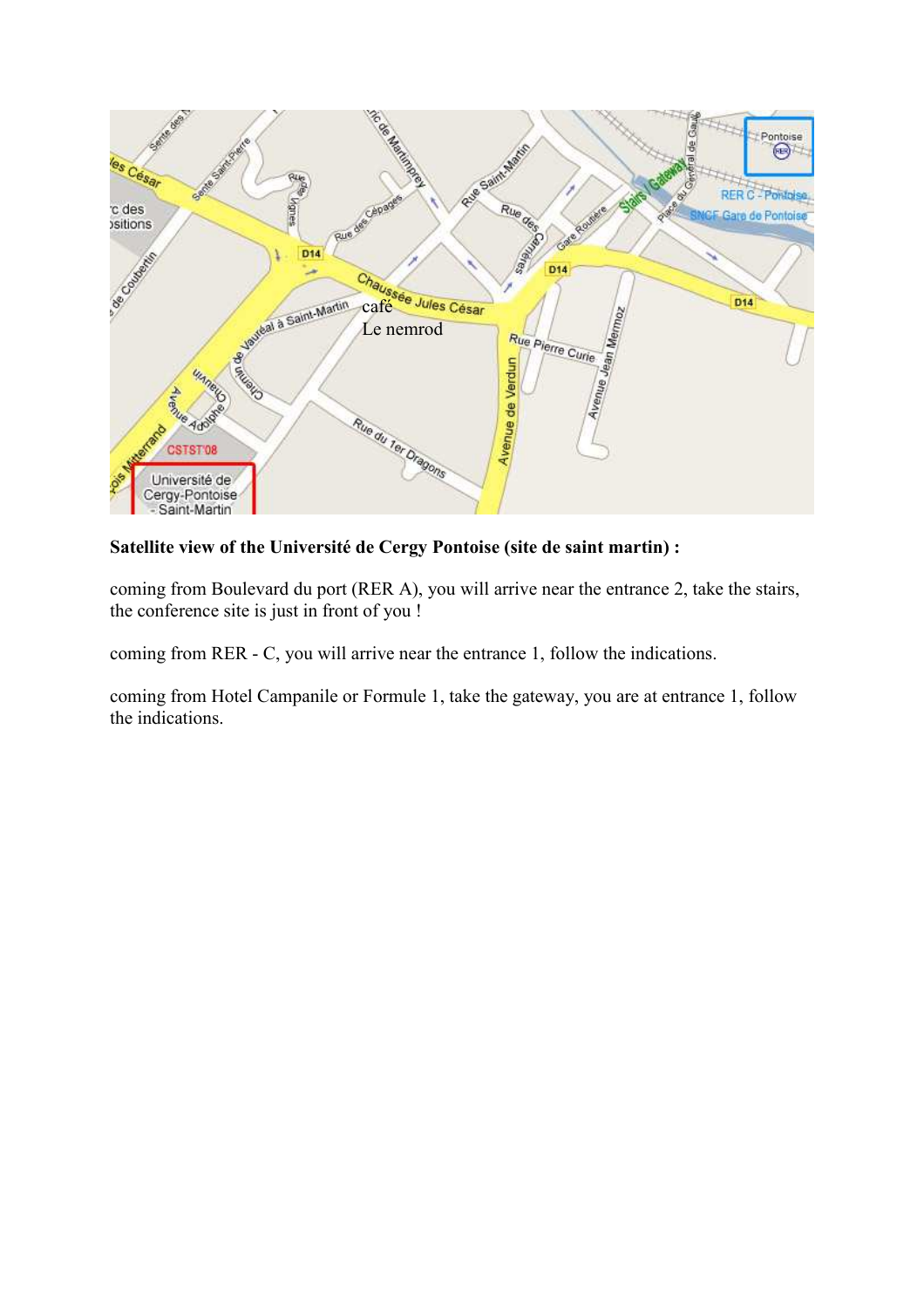

Satellite view of the Université de Cergy Pontoise (site de saint martin) :

coming from Boulevard du port (RER A), you will arrive near the entrance 2, take the stairs, the conference site is just in front of you !

coming from RER - C, you will arrive near the entrance 1, follow the indications.

coming from Hotel Campanile or Formule 1, take the gateway, you are at entrance 1, follow the indications.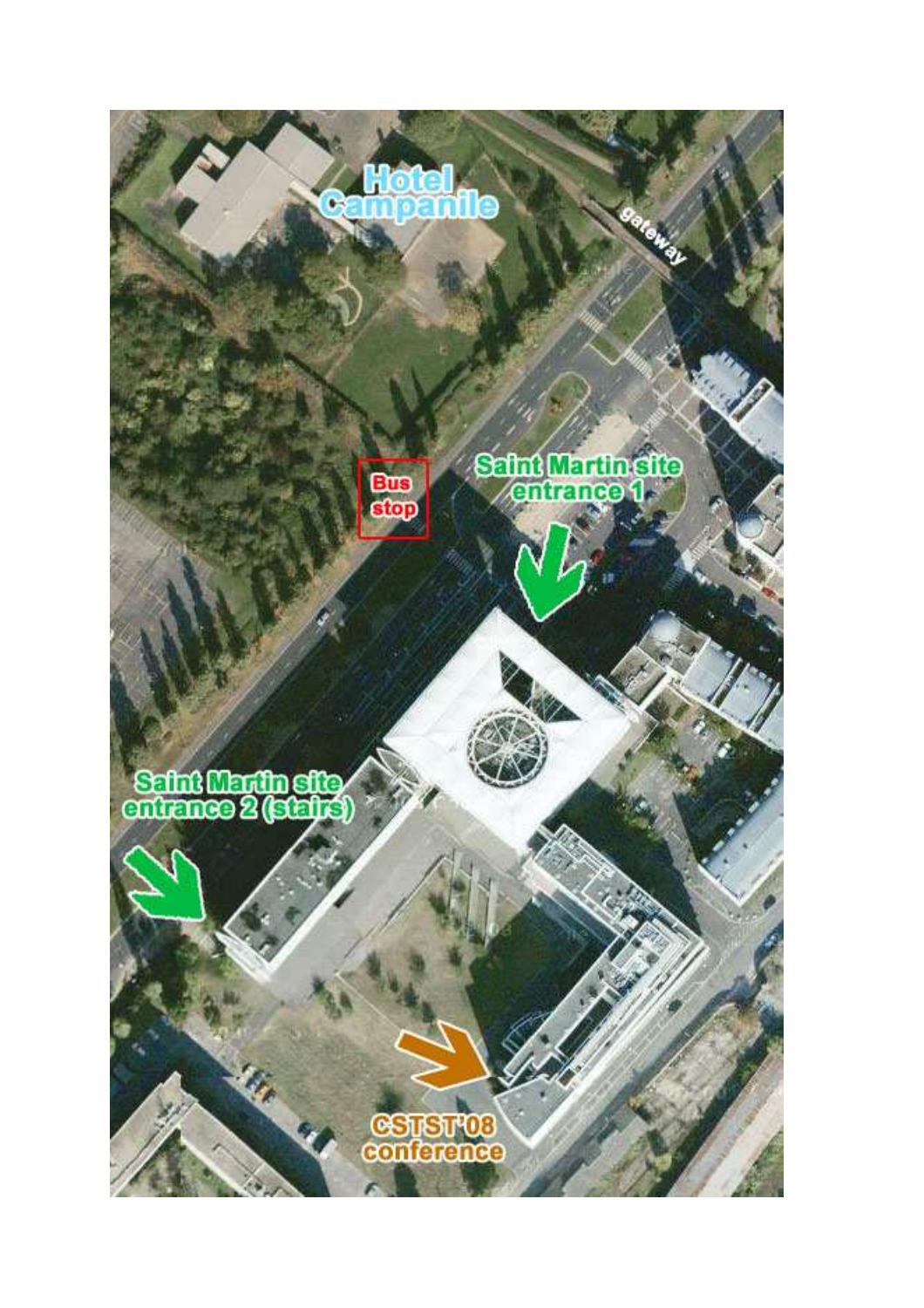